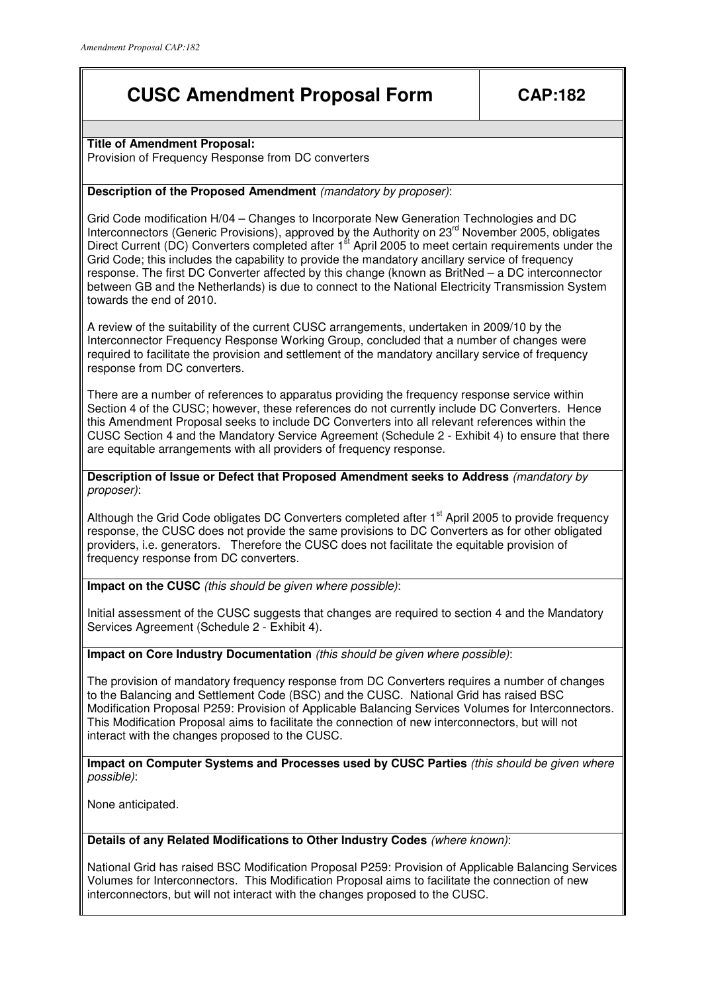# **CUSC Amendment Proposal Form CAP:182**

## **Title of Amendment Proposal:**

Provision of Frequency Response from DC converters

# **Description of the Proposed Amendment** (mandatory by proposer):

Grid Code modification H/04 – Changes to Incorporate New Generation Technologies and DC Interconnectors (Generic Provisions), approved by the Authority on 23<sup>rd</sup> November 2005, obligates Direct Current (DC) Converters completed after 1<sup>st</sup> April 2005 to meet certain requirements under the Grid Code; this includes the capability to provide the mandatory ancillary service of frequency response. The first DC Converter affected by this change (known as BritNed – a DC interconnector between GB and the Netherlands) is due to connect to the National Electricity Transmission System towards the end of 2010.

A review of the suitability of the current CUSC arrangements, undertaken in 2009/10 by the Interconnector Frequency Response Working Group, concluded that a number of changes were required to facilitate the provision and settlement of the mandatory ancillary service of frequency response from DC converters.

There are a number of references to apparatus providing the frequency response service within Section 4 of the CUSC; however, these references do not currently include DC Converters. Hence this Amendment Proposal seeks to include DC Converters into all relevant references within the CUSC Section 4 and the Mandatory Service Agreement (Schedule 2 - Exhibit 4) to ensure that there are equitable arrangements with all providers of frequency response.

**Description of Issue or Defect that Proposed Amendment seeks to Address** (mandatory by proposer):

Although the Grid Code obligates DC Converters completed after 1<sup>st</sup> April 2005 to provide frequency response, the CUSC does not provide the same provisions to DC Converters as for other obligated providers, i.e. generators. Therefore the CUSC does not facilitate the equitable provision of frequency response from DC converters.

**Impact on the CUSC** (this should be given where possible):

Initial assessment of the CUSC suggests that changes are required to section 4 and the Mandatory Services Agreement (Schedule 2 - Exhibit 4).

**Impact on Core Industry Documentation** (this should be given where possible):

The provision of mandatory frequency response from DC Converters requires a number of changes to the Balancing and Settlement Code (BSC) and the CUSC. National Grid has raised BSC Modification Proposal P259: Provision of Applicable Balancing Services Volumes for Interconnectors. This Modification Proposal aims to facilitate the connection of new interconnectors, but will not interact with the changes proposed to the CUSC.

**Impact on Computer Systems and Processes used by CUSC Parties** (this should be given where possible):

None anticipated.

#### **Details of any Related Modifications to Other Industry Codes** (where known):

National Grid has raised BSC Modification Proposal P259: Provision of Applicable Balancing Services Volumes for Interconnectors. This Modification Proposal aims to facilitate the connection of new interconnectors, but will not interact with the changes proposed to the CUSC.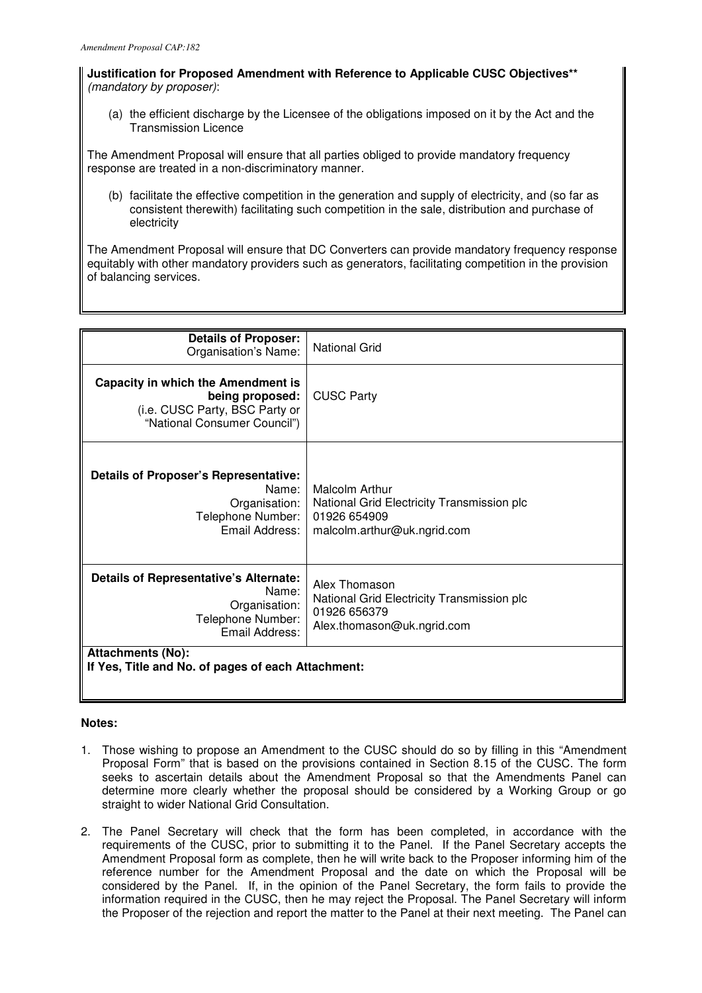**Justification for Proposed Amendment with Reference to Applicable CUSC Objectives\*\***  (mandatory by proposer):

(a) the efficient discharge by the Licensee of the obligations imposed on it by the Act and the Transmission Licence

The Amendment Proposal will ensure that all parties obliged to provide mandatory frequency response are treated in a non-discriminatory manner.

(b) facilitate the effective competition in the generation and supply of electricity, and (so far as consistent therewith) facilitating such competition in the sale, distribution and purchase of electricity

The Amendment Proposal will ensure that DC Converters can provide mandatory frequency response equitably with other mandatory providers such as generators, facilitating competition in the provision of balancing services.

| <b>Details of Proposer:</b><br>Organisation's Name:                                                                     | <b>National Grid</b>                                                                                        |
|-------------------------------------------------------------------------------------------------------------------------|-------------------------------------------------------------------------------------------------------------|
| Capacity in which the Amendment is<br>being proposed:<br>(i.e. CUSC Party, BSC Party or<br>"National Consumer Council") | <b>CUSC Party</b>                                                                                           |
| <b>Details of Proposer's Representative:</b><br>Name:<br>Organisation:<br>Telephone Number:<br>Fmail Address:           | Malcolm Arthur<br>National Grid Electricity Transmission plc<br>01926 654909<br>malcolm.arthur@uk.ngrid.com |
| <b>Details of Representative's Alternate:</b><br>Name:<br>Organisation:<br>Telephone Number:<br>Email Address:          | Alex Thomason<br>National Grid Electricity Transmission plc<br>01926 656379<br>Alex.thomason@uk.ngrid.com   |
| <b>Attachments (No):</b><br>If Yes, Title and No. of pages of each Attachment:                                          |                                                                                                             |

## **Notes:**

- 1. Those wishing to propose an Amendment to the CUSC should do so by filling in this "Amendment Proposal Form" that is based on the provisions contained in Section 8.15 of the CUSC. The form seeks to ascertain details about the Amendment Proposal so that the Amendments Panel can determine more clearly whether the proposal should be considered by a Working Group or go straight to wider National Grid Consultation.
- 2. The Panel Secretary will check that the form has been completed, in accordance with the requirements of the CUSC, prior to submitting it to the Panel. If the Panel Secretary accepts the Amendment Proposal form as complete, then he will write back to the Proposer informing him of the reference number for the Amendment Proposal and the date on which the Proposal will be considered by the Panel. If, in the opinion of the Panel Secretary, the form fails to provide the information required in the CUSC, then he may reject the Proposal. The Panel Secretary will inform the Proposer of the rejection and report the matter to the Panel at their next meeting. The Panel can